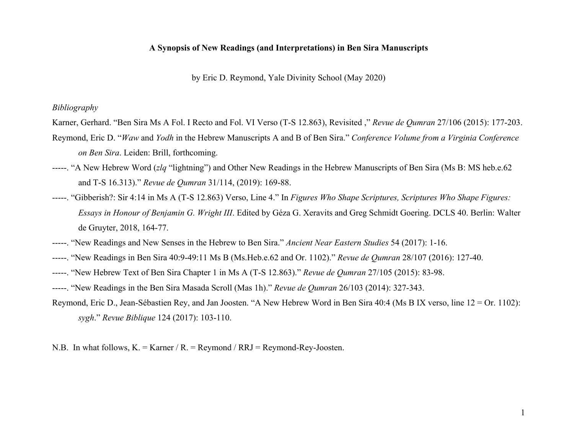## **A Synopsis of New Readings (and Interpretations) in Ben Sira Manuscripts**

by Eric D. Reymond, Yale Divinity School (May 2020)

## *Bibliography*

- Karner, Gerhard. "Ben Sira Ms A Fol. I Recto and Fol. VI Verso (T-S 12.863), Revisited ," *Revue de Qumran* 27/106 (2015): 177-203.
- Reymond, Eric D. "*Waw* and *Yodh* in the Hebrew Manuscripts A and B of Ben Sira." *Conference Volume from a Virginia Conference on Ben Sira*. Leiden: Brill, forthcoming.
- -----. "A New Hebrew Word (*zlq* "lightning") and Other New Readings in the Hebrew Manuscripts of Ben Sira (Ms B: MS heb.e.62 and T-S 16.313)." *Revue de Qumran* 31/114, (2019): 169-88.
- -----. "Gibberish?: Sir 4:14 in Ms A (T-S 12.863) Verso, Line 4." In *Figures Who Shape Scriptures, Scriptures Who Shape Figures: Essays in Honour of Benjamin G. Wright III*. Edited by Géza G. Xeravits and Greg Schmidt Goering. DCLS 40. Berlin: Walter de Gruyter, 2018, 164-77.
- -----. "New Readings and New Senses in the Hebrew to Ben Sira." *Ancient Near Eastern Studies* 54 (2017): 1-16.
- -----. "New Readings in Ben Sira 40:9-49:11 Ms B (Ms.Heb.e.62 and Or. 1102)." *Revue de Qumran* 28/107 (2016): 127-40.
- -----. "New Hebrew Text of Ben Sira Chapter 1 in Ms A (T-S 12.863)." *Revue de Qumran* 27/105 (2015): 83-98.
- -----. "New Readings in the Ben Sira Masada Scroll (Mas 1h)." *Revue de Qumran* 26/103 (2014): 327-343.
- Reymond, Eric D., Jean-Sébastien Rey, and Jan Joosten. "A New Hebrew Word in Ben Sira 40:4 (Ms B IX verso, line 12 = Or. 1102): *sygh*." *Revue Biblique* 124 (2017): 103-110.
- N.B. In what follows, K. = Karner / R. = Reymond / RRJ = Reymond-Rey-Joosten.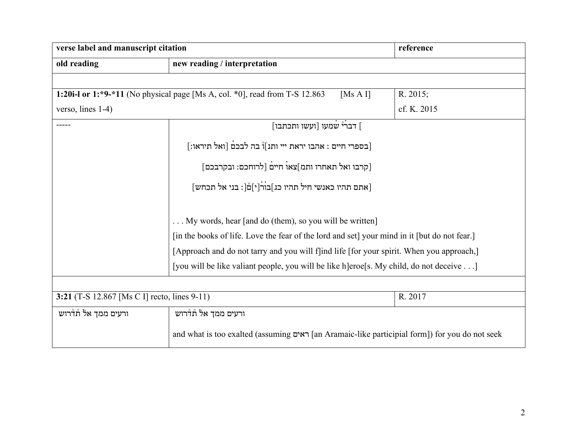| verse label and manuscript citation                     |                                                                                                | reference   |  |
|---------------------------------------------------------|------------------------------------------------------------------------------------------------|-------------|--|
| old reading                                             | new reading / interpretation                                                                   |             |  |
|                                                         |                                                                                                |             |  |
|                                                         | 1:20i-l or 1:*9-*11 (No physical page [Ms A, col. *0], read from T-S 12.863<br>[Ms A I]        | R. 2015;    |  |
| verso, lines 1-4)                                       |                                                                                                | cf. K. 2015 |  |
| -----                                                   | ∫ דברי טמעו [ועשו ותכתבו]                                                                      |             |  |
|                                                         | [בספרי חיים : אהבו יראת ייי ותנ]וْ בה לבכם [ואל תיראו:]                                        |             |  |
|                                                         | [קרבו ואל תאחרו ותמ]צאו חיים [לרוחכם: ובקרבכם]                                                 |             |  |
|                                                         | [אתם תהיו כאנשי חיל תהיו כג]בור[י]םْ[: בני אל תכחש]                                            |             |  |
|                                                         | My words, hear [and do (them), so you will be written]                                         |             |  |
|                                                         | [in the books of life. Love the fear of the lord and set] your mind in it [but do not fear.]   |             |  |
|                                                         | [Approach and do not tarry and you will f]ind life [for your spirit. When you approach,]       |             |  |
|                                                         | [you will be like valiant people, you will be like h]eroe[s. My child, do not deceive]         |             |  |
|                                                         |                                                                                                |             |  |
| 3:21 (T-S 12.867 [Ms C I] recto, lines 9-11)<br>R. 2017 |                                                                                                |             |  |
| ורעים ממך אל תׄדרוש                                     | ורעים ממך אל תׄדרוש                                                                            |             |  |
|                                                         | and what is too exalted (assuming ראים [an Aramaic-like participial form]) for you do not seek |             |  |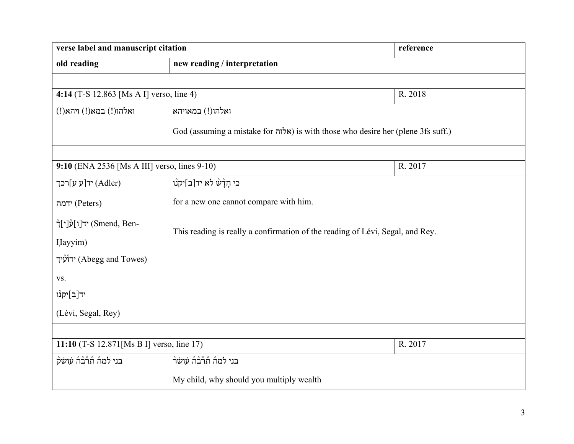| verse label and manuscript citation                   |                                                                                  | reference |  |
|-------------------------------------------------------|----------------------------------------------------------------------------------|-----------|--|
| old reading                                           | new reading / interpretation                                                     |           |  |
|                                                       |                                                                                  |           |  |
| 4:14 (T-S 12.863 [Ms A I] verso, line 4)              |                                                                                  | R. 2018   |  |
| ואלהו(!) במא(!) ויהא(!)                               | ואלהו(!) במאויהא                                                                 |           |  |
|                                                       | God (assuming a mistake for אלוה) is with those who desire her (plene 3fs suff.) |           |  |
|                                                       |                                                                                  |           |  |
|                                                       | 9:10 (ENA 2536 [Ms A III] verso, lines 9-10)<br>R. 2017                          |           |  |
| יד[ע $\mathfrak{v}$ ד'(Adler)                         | כי חַדָּשׁׁ לֹא יד[ב]יקנו                                                        |           |  |
| ידמה (Peters)                                         | for a new one cannot compare with him.                                           |           |  |
| †[י]עווי] (Smend, Ben-                                | This reading is really a confirmation of the reading of Lévi, Segal, and Rey.    |           |  |
| Hayyim)                                               |                                                                                  |           |  |
| ידוֹע                                                 |                                                                                  |           |  |
| VS.                                                   |                                                                                  |           |  |
| יד[ב]יקנْו                                            |                                                                                  |           |  |
| (Lévi, Segal, Rey)                                    |                                                                                  |           |  |
|                                                       |                                                                                  |           |  |
| 11:10 (T-S 12.871 [Ms B I] verso, line 17)<br>R. 2017 |                                                                                  |           |  |
| בני למה תំרבה עושק                                    | בני למה תំרْבْהْ עושׂרْ                                                          |           |  |
|                                                       | My child, why should you multiply wealth                                         |           |  |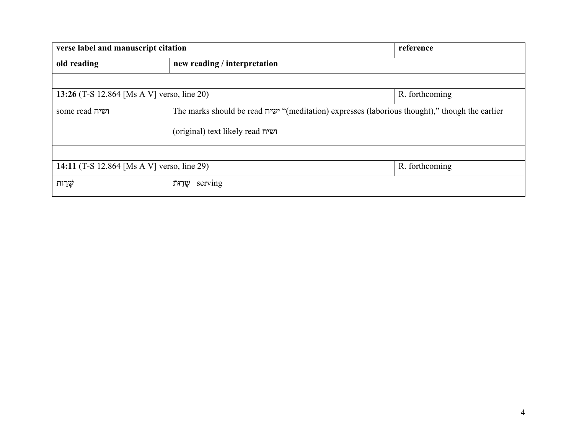| verse label and manuscript citation                          |                                                                                                | reference      |  |
|--------------------------------------------------------------|------------------------------------------------------------------------------------------------|----------------|--|
| old reading                                                  | new reading / interpretation                                                                   |                |  |
|                                                              |                                                                                                |                |  |
| 13:26 (T-S 12.864 [Ms A V] verso, line 20)<br>R. forthcoming |                                                                                                |                |  |
| some read ושיח                                               | The marks should be read ישיח "(meditation) expresses (laborious thought)," though the earlier |                |  |
|                                                              | (original) text likely read ושיח                                                               |                |  |
|                                                              |                                                                                                |                |  |
| 14:11 (T-S 12.864 [Ms A V] verso, line 29)                   |                                                                                                | R. forthcoming |  |
| ֹשָׁרֵוּת                                                    | שַׁרֵוּתֿ<br>serving                                                                           |                |  |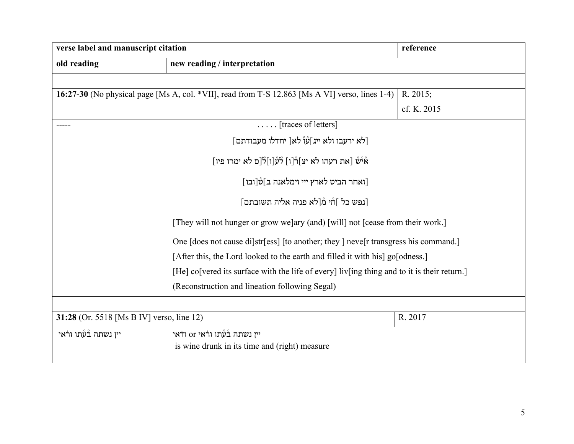| verse label and manuscript citation                  |                                                                                                | reference   |  |
|------------------------------------------------------|------------------------------------------------------------------------------------------------|-------------|--|
| old reading                                          | new reading / interpretation                                                                   |             |  |
|                                                      |                                                                                                |             |  |
|                                                      | 16:27-30 (No physical page [Ms A, col. *VII], read from T-S 12.863 [Ms A VI] verso, lines 1-4) | R. 2015;    |  |
|                                                      |                                                                                                | cf. K. 2015 |  |
|                                                      | $\ldots$ . [traces of letters]                                                                 |             |  |
|                                                      | [לֹא ירעִבו ולֹא ייג]עוֹ לֹאַ[ יחדלו מעִבודתם]                                                 |             |  |
|                                                      | אْיْשْ [את רעהו לא יצ]רْ[ו] לْעْ[ו]לْ[ם לא ימרו פיו]                                           |             |  |
|                                                      | [ואחר הביט לארץ ייי וימלאנה ב]טْ[ובו]                                                          |             |  |
|                                                      | [נפש כל ]חْי מْ[לֹא פניה אליה תשובתם]                                                          |             |  |
|                                                      | [They will not hunger or grow we]ary (and) [will] not [cease from their work.]                 |             |  |
|                                                      | One [does not cause di]str[ess] [to another; they ] neve[r transgress his command.]            |             |  |
|                                                      | [After this, the Lord looked to the earth and filled it with his] go[odness.]                  |             |  |
|                                                      | [He] co[vered its surface with the life of every] liv[ing thing and to it is their return.]    |             |  |
|                                                      | (Reconstruction and lineation following Segal)                                                 |             |  |
|                                                      |                                                                                                |             |  |
| 31:28 (Or. 5518 [Ms B IV] verso, line 12)<br>R. 2017 |                                                                                                |             |  |
| יין נשתה בْעָּתו ורֹאי                               | יין נשתה ב <u>ֿ</u> עָּתו ורֹאי or ודֹאי                                                       |             |  |
|                                                      | is wine drunk in its time and (right) measure                                                  |             |  |
|                                                      |                                                                                                |             |  |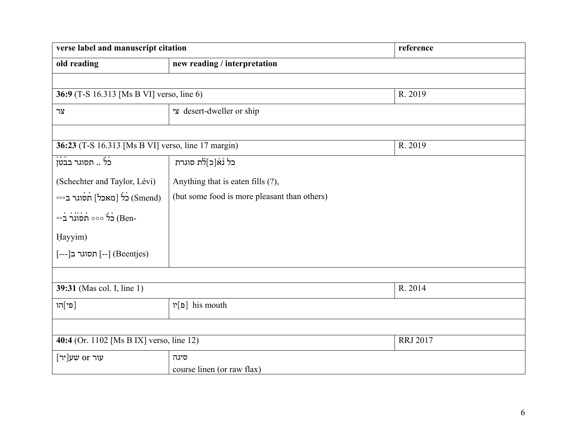| verse label and manuscript citation                         |                                              | reference |
|-------------------------------------------------------------|----------------------------------------------|-----------|
| old reading                                                 | new reading / interpretation                 |           |
|                                                             |                                              |           |
| 36:9 (T-S 16.313 [Ms B VI] verso, line 6)                   |                                              | R. 2019   |
| צר                                                          | esert-dweller or ship                        |           |
|                                                             |                                              |           |
| 36:23 (T-S 16.313 [Ms B VI] verso, line 17 margin)          |                                              | R. 2019   |
| <br>כל  תסוגר בבטן                                          | כל נْאْ[כ]לת סוגרת                           |           |
| (Schechter and Taylor, Lévi)                                | Anything that is eaten fills (?),            |           |
| (Smend) כֹל [מאכל] תסוגר ב∘∘∘                               | (but some food is more pleasant than others) |           |
| $\circ \circ$ תֹסוֹגר בֿ $( \text{Ben} -$                   |                                              |           |
| Hayyim)                                                     |                                              |           |
| [---] תסוגר ב[---] (Beentjes)                               |                                              |           |
|                                                             |                                              |           |
| 39:31 (Mas col. I, line 1)                                  |                                              | R. 2014   |
| [פי]הו                                                      | his mouth [פ]יו                              |           |
|                                                             |                                              |           |
| 40:4 (Or. 1102 [Ms B IX] verso, line 12)<br><b>RRJ 2017</b> |                                              |           |
| עור or שע[יר]                                               | סיגה                                         |           |
| course linen (or raw flax)                                  |                                              |           |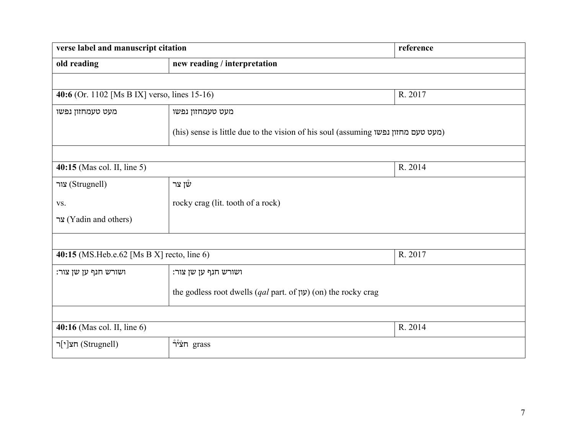| verse label and manuscript citation          |                                                                                   | reference |  |
|----------------------------------------------|-----------------------------------------------------------------------------------|-----------|--|
| old reading                                  | new reading / interpretation                                                      |           |  |
|                                              |                                                                                   |           |  |
| 40:6 (Or. 1102 [Ms B IX] verso, lines 15-16) |                                                                                   | R. 2017   |  |
| מעט טעמחזון נפשו                             | מעט טעמחזון נפשו                                                                  |           |  |
|                                              | (his) sense is little due to the vision of his soul (assuming (מעט טעם מחזון נפשו |           |  |
|                                              |                                                                                   |           |  |
| 40:15 (Mas col. II, line 5)<br>R. 2014       |                                                                                   |           |  |
| (Strugnell) צור                              | שו צר                                                                             |           |  |
| VS.                                          | rocky crag (lit. tooth of a rock)                                                 |           |  |
| צר (Yadin and others)                        |                                                                                   |           |  |
|                                              |                                                                                   |           |  |
| 40:15 (MS.Heb.e.62 [Ms B X] recto, line 6)   |                                                                                   | R. 2017   |  |
| ושורש חנף ען שן צור:                         | ושורש חנף ען שן צור:                                                              |           |  |
|                                              | the godless root dwells ( <i>qal</i> part. of $y$ ) (on) the rocky crag           |           |  |
|                                              |                                                                                   |           |  |
| $40:16$ (Mas col. II, line 6)                |                                                                                   | R. 2014   |  |
| (Strugnell) חצ[י]ר                           | $\mathring{\mathsf{T}}$ תֹּצֹיֹר                                                  |           |  |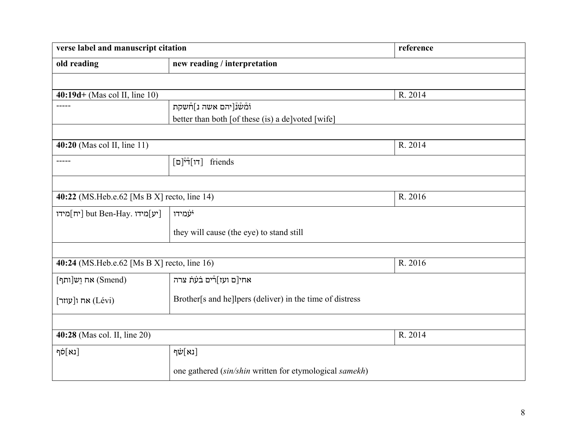| verse label and manuscript citation                    |                                                          | reference |  |
|--------------------------------------------------------|----------------------------------------------------------|-----------|--|
| old reading                                            | new reading / interpretation                             |           |  |
|                                                        |                                                          |           |  |
| $40:19d + (Mas col II, line 10)$                       |                                                          | R. 2014   |  |
| $- - - - -$                                            | וֹמْשْנْ[יהם אשה נ]חْשקת                                 |           |  |
|                                                        | better than both [of these (is) a de]voted [wife]        |           |  |
|                                                        |                                                          |           |  |
| 40:20 (Mas col II, line 11)                            |                                                          | R. 2014   |  |
| $- - - - -$                                            | [דו דٌי <sup>ּי</sup> ן[ם]<br>friends                    |           |  |
|                                                        |                                                          |           |  |
| 40:22 (MS.Heb.e.62 [Ms B X] recto, line 14)<br>R. 2016 |                                                          |           |  |
| יח]<br>av: יח] but Ben-Hay. [יע]                       | יֹעָמידו                                                 |           |  |
|                                                        | they will cause (the eye) to stand still                 |           |  |
|                                                        |                                                          |           |  |
| 40:24 (MS.Heb.e.62 [Ms B X] recto, line 16)            |                                                          | R. 2016   |  |
| $\lceil \mathbf{m} \rceil$ אח וש ותף (Smend)           | אחי[ם ועז]רْים בׄעֹתׁ צרה                                |           |  |
| $[$ אח ו $[$ עוזר $]$                                  | Brother[s and he]lpers (deliver) in the time of distress |           |  |
|                                                        |                                                          |           |  |
| 40:28 (Mas col. II, line 20)                           |                                                          | R. 2014   |  |
| [נא]סֹף                                                | ןנא]שׂף                                                  |           |  |
|                                                        | one gathered (sin/shin written for etymological samekh)  |           |  |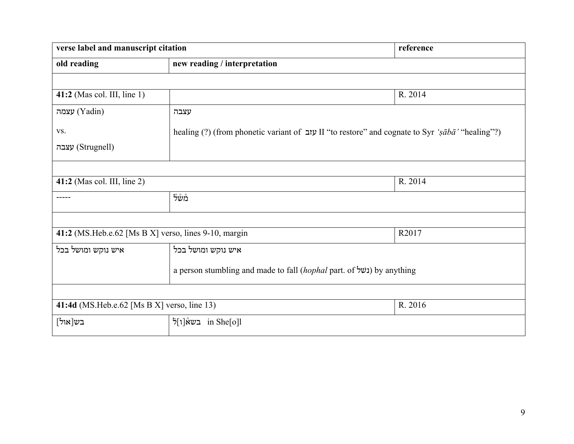| verse label and manuscript citation                    |                                                                                                 | reference |
|--------------------------------------------------------|-------------------------------------------------------------------------------------------------|-----------|
| old reading                                            | new reading / interpretation                                                                    |           |
|                                                        |                                                                                                 |           |
| 41:2 (Mas col. III, line 1)                            |                                                                                                 | R. 2014   |
| עצמה (Yadin)                                           | עצבה                                                                                            |           |
| VS.                                                    | healing (?) (from phonetic variant of שוב II "to restore" and cognate to Syr 'sābā' "healing"?) |           |
| (Strugnell) עצבה                                       |                                                                                                 |           |
|                                                        |                                                                                                 |           |
| $41:2$ (Mas col. III, line 2)<br>R. 2014               |                                                                                                 |           |
|                                                        | מָ <i>ש</i> ֶ                                                                                   |           |
|                                                        |                                                                                                 |           |
| 41:2 (MS.Heb.e.62 [Ms B X] verso, lines 9-10, margin   |                                                                                                 | R2017     |
| איש נוקש ומושל בכל                                     | איש נוקש ומושל בכל                                                                              |           |
|                                                        | a person stumbling and made to fall (hophal part. of נשל) by anything                           |           |
|                                                        |                                                                                                 |           |
| 41:4d (MS.Heb.e.62 [Ms B X] verso, line 13)<br>R. 2016 |                                                                                                 |           |
| בש[אול]                                                | 5[1]in She בשא [1]                                                                              |           |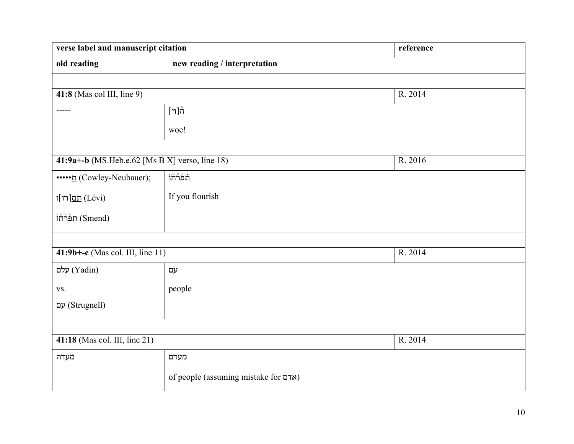| verse label and manuscript citation            |                                      | reference |
|------------------------------------------------|--------------------------------------|-----------|
| old reading                                    | new reading / interpretation         |           |
|                                                |                                      |           |
| $41:8$ (Mas col III, line 9)                   |                                      | R. 2014   |
| -----                                          | ["]ทั                                |           |
|                                                | woe!                                 |           |
|                                                |                                      |           |
| 41:9a+-b (MS.Heb.e.62 [Ms B X] verso, line 18) |                                      | R. 2016   |
| ••••• <u>n</u> (Cowley-Neubauer);              | <b><i>ำกำธ</i>ั</b> ก                |           |
| תמ[רו]ו (Lévi)                                 | If you flourish                      |           |
| $\mathring{\mathsf{T}}$ תלהוֹ (Smend)          |                                      |           |
|                                                |                                      |           |
| $41:9b+-c$ (Mas col. III, line 11)             |                                      | R. 2014   |
| עלם (Yadin)                                    | עם                                   |           |
| VS.                                            | people                               |           |
| (Strugnell) עם                                 |                                      |           |
|                                                |                                      |           |
| 41:18 (Mas col. III, line 21)                  |                                      | R. 2014   |
| מעדה                                           | מעדם                                 |           |
|                                                | of people (assuming mistake for אדם) |           |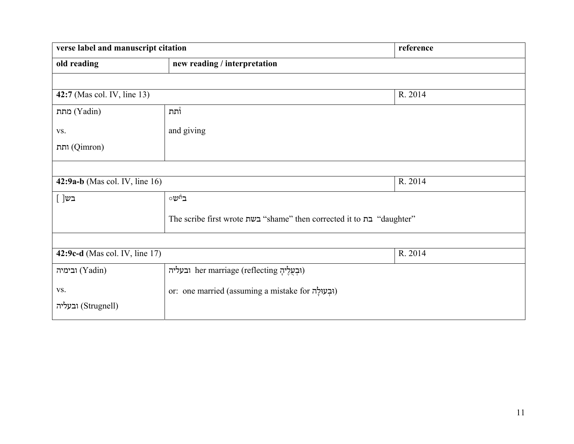| verse label and manuscript citation                                   |                                                     | reference |
|-----------------------------------------------------------------------|-----------------------------------------------------|-----------|
| old reading                                                           | new reading / interpretation                        |           |
|                                                                       |                                                     |           |
| 42:7 (Mas col. IV, line 13)                                           |                                                     | R. 2014   |
| מתת (Yadin)                                                           | <b>וֿתת</b>                                         |           |
| VS.                                                                   | and giving                                          |           |
| (Qimron) ותת                                                          |                                                     |           |
|                                                                       |                                                     |           |
| 42:9a-b (Mas col. IV, line $16$ )                                     |                                                     | R. 2014   |
| [ ]בש                                                                 | פינשס                                               |           |
| The scribe first wrote במ "shame" then corrected it to "בת "daughter" |                                                     |           |
|                                                                       |                                                     |           |
| 42:9c-d (Mas col. IV, line 17)                                        |                                                     | R. 2014   |
| ובימיה (Yadin)                                                        | ובעליה her marriage (reflecting ובעליה)             |           |
| VS.                                                                   | or: one married (assuming a mistake for וְבְעוּלָה) |           |
| ובעליה (Strugnell)                                                    |                                                     |           |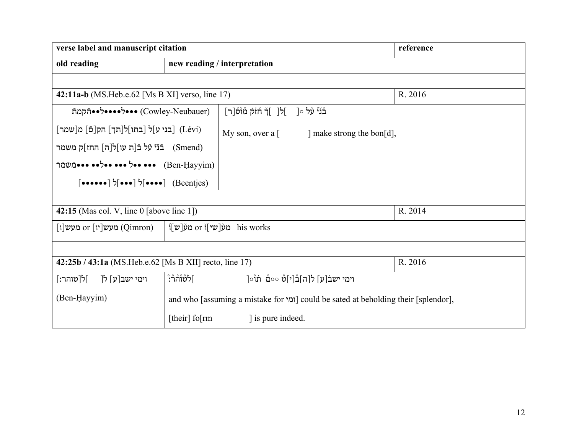| verse label and manuscript citation                                                                                        |                                                                                     | reference                                                                                |         |
|----------------------------------------------------------------------------------------------------------------------------|-------------------------------------------------------------------------------------|------------------------------------------------------------------------------------------|---------|
| old reading                                                                                                                |                                                                                     | new reading / interpretation                                                             |         |
|                                                                                                                            |                                                                                     |                                                                                          |         |
| 42:11a-b (MS.Heb.e.62 [Ms B XI] verso, line 17)                                                                            |                                                                                     |                                                                                          | R. 2016 |
| (Cowley-Neubauer) •••ל••••ל••דקמת                                                                                          |                                                                                     | בْנْיْ עָׁל ○[<br>]ל[  ]ךٌ חוֹתֹ מْוْסْ[ר]                                               |         |
| [בני ע]ל [בתו]ל[תך] הק[ם] מ[שמר] [                                                                                         |                                                                                     | My son, over a $\lceil \cdot \cdot \cdot \rceil$ make strong the bon $\lceil d \rceil$ , |         |
| (Smend) ⊏נֿיֿ עֿל בֿ[ת עו]לןה] החז]ק משמר                                                                                  |                                                                                     |                                                                                          |         |
| התּתֹשׁמַה (Ben-Hayyim)                                                                                                    |                                                                                     |                                                                                          |         |
| $\lceil \bullet \bullet \bullet \bullet \bullet \bullet \rceil$ $\mathfrak{Z}[\bullet \bullet \bullet \bullet]$ (Beentjes) |                                                                                     |                                                                                          |         |
|                                                                                                                            |                                                                                     |                                                                                          |         |
| R. 2014<br>42:15 (Mas col. V, line $0$ [above line 1])                                                                     |                                                                                     |                                                                                          |         |
| ּמֹעָן or העון his works<br>$[1]$ מעש $[1]$ יז or (Qimron)                                                                 |                                                                                     |                                                                                          |         |
|                                                                                                                            |                                                                                     |                                                                                          |         |
| R. 2016<br>42:25b / 43:1a (MS.Heb.e.62 [Ms B XII] recto, line 17)                                                          |                                                                                     |                                                                                          |         |
| ∫ל[טוהר:]<br>וימי ישב[ע] ל[                                                                                                | ٲ <del>ۯ</del> ؙٙٙۨ۠۠۠؇ڗ۠؞ڗ۫                                                        | וימי ישבׄ[ע] ל[ה]בْ[י]סْ ∘∘םْ πוْ∘[                                                      |         |
| (Ben-Hayyim)                                                                                                               | and who [assuming a mistake for [ומי] could be sated at beholding their [splendor], |                                                                                          |         |
|                                                                                                                            | [their] fo $\text{rm}$                                                              | is pure indeed.                                                                          |         |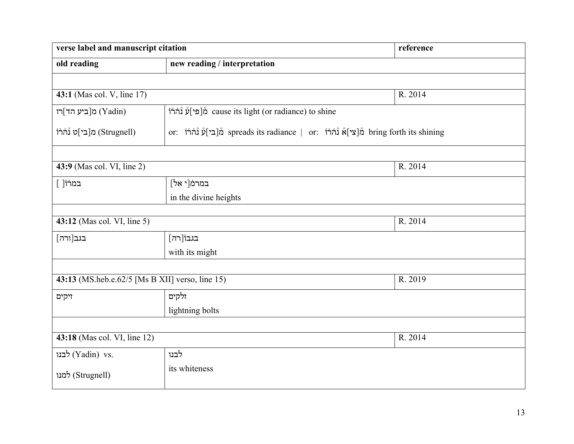| verse label and manuscript citation             |                                                                                        | reference |
|-------------------------------------------------|----------------------------------------------------------------------------------------|-----------|
| old reading                                     | new reading / interpretation                                                           |           |
|                                                 |                                                                                        |           |
| 43:1 (Mas col. V, line 17)                      |                                                                                        | R. 2014   |
| מ[ביע הד]רו (Yadin)                             | icause its light (or radiance) to shine                                                |           |
| (Strugnell) מ[בי]ט נْהֹרֹוֹ                     | or: מֹּ[בִי]עٌ נُהֹרֹוֹ spreads its radiance   or: הֹרֹוֹ אוֹן bring forth its shining |           |
|                                                 |                                                                                        |           |
| 43:9 (Mas col. VI, line 2)                      |                                                                                        | R. 2014   |
| במרוֹ[ ]                                        | במרמֹ[י אל]                                                                            |           |
| in the divine heights                           |                                                                                        |           |
|                                                 |                                                                                        |           |
| 43:12 (Mas col. VI, line 5)                     |                                                                                        | R. 2014   |
| בגב[ורה]                                        | בגבוֹ[רה]                                                                              |           |
| with its might                                  |                                                                                        |           |
|                                                 |                                                                                        |           |
| 43:13 (MS.heb.e.62/5 [Ms B XII] verso, line 15) |                                                                                        | R. 2019   |
| זיקים                                           | זלקים                                                                                  |           |
|                                                 | lightning bolts                                                                        |           |
|                                                 |                                                                                        |           |
| 43:18 (Mas col. VI, line 12)                    |                                                                                        | R. 2014   |
| לבנו (Yadin) vs.                                | לבנו                                                                                   |           |
| (Strugnell) למנו                                | its whiteness                                                                          |           |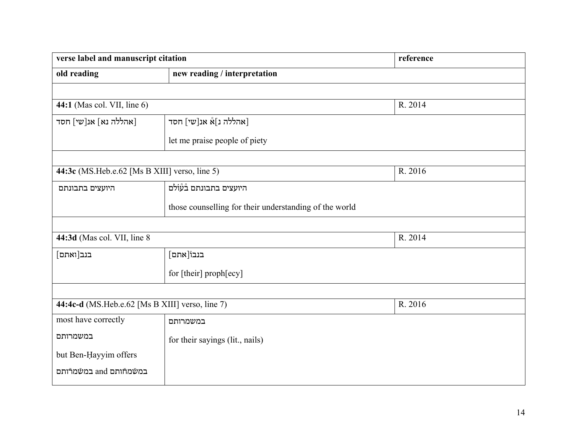| verse label and manuscript citation             |                                                        | reference |
|-------------------------------------------------|--------------------------------------------------------|-----------|
| old reading                                     | new reading / interpretation                           |           |
|                                                 |                                                        |           |
| 44:1 (Mas col. VII, line 6)                     |                                                        | R. 2014   |
| [אהללה נא] אנ[שי] חסד                           | [אהללה נ]אْ אנ[שי] חסד                                 |           |
|                                                 | let me praise people of piety                          |           |
|                                                 |                                                        |           |
| 44:3c (MS.Heb.e.62 [Ms B XIII] verso, line 5)   |                                                        | R. 2016   |
| היועצים בתבונתם                                 | היועצים בתבונתם בْעْוֹלֹם                              |           |
|                                                 | those counselling for their understanding of the world |           |
|                                                 |                                                        |           |
| 44:3d (Mas col. VII, line 8)                    |                                                        | R. 2014   |
| בנב[ואתם]                                       | בנבוֹ[אתם]                                             |           |
|                                                 | for [their] proph[ecy]                                 |           |
|                                                 |                                                        |           |
| 44:4c-d (MS.Heb.e.62 [Ms B XIII] verso, line 7) |                                                        | R. 2016   |
| most have correctly                             | במשמרותם                                               |           |
| במשמרותם                                        | for their sayings (lit., nails)                        |           |
| but Ben-Hayyim offers                           |                                                        |           |
| במשמחותם and במשמרותם                           |                                                        |           |